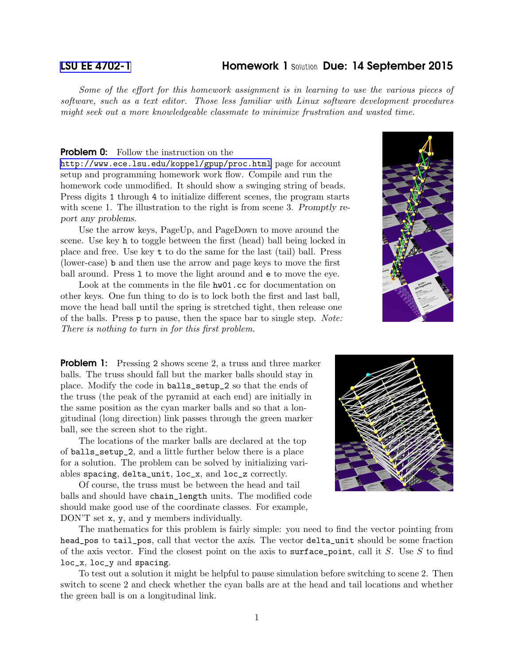## [LSU EE 4702-1](http://www.ece.lsu.edu/koppel/gpup/) Homework 1 *Solution* Due: 14 September 2015

Some of the effort for this homework assignment is in learning to use the various pieces of software, such as a text editor. Those less familiar with Linux software development procedures might seek out a more knowledgeable classmate to minimize frustration and wasted time.

## **Problem 0:** Follow the instruction on the

<http://www.ece.lsu.edu/koppel/gpup/proc.html> page for account setup and programming homework work flow. Compile and run the homework code unmodified. It should show a swinging string of beads. Press digits 1 through 4 to initialize different scenes, the program starts with scene 1. The illustration to the right is from scene 3. Promptly report any problems.

Use the arrow keys, PageUp, and PageDown to move around the scene. Use key h to toggle between the first (head) ball being locked in place and free. Use key t to do the same for the last (tail) ball. Press (lower-case) b and then use the arrow and page keys to move the first ball around. Press 1 to move the light around and  $\epsilon$  to move the eye.

Look at the comments in the file hw01.cc for documentation on other keys. One fun thing to do is to lock both the first and last ball, move the head ball until the spring is stretched tight, then release one of the balls. Press p to pause, then the space bar to single step. Note: There is nothing to turn in for this first problem.



**Problem 1:** Pressing 2 shows scene 2, a truss and three marker balls. The truss should fall but the marker balls should stay in place. Modify the code in balls\_setup\_2 so that the ends of the truss (the peak of the pyramid at each end) are initially in the same position as the cyan marker balls and so that a longitudinal (long direction) link passes through the green marker ball, see the screen shot to the right.

The locations of the marker balls are declared at the top of balls\_setup\_2, and a little further below there is a place for a solution. The problem can be solved by initializing variables spacing, delta\_unit, loc\_x, and loc\_z correctly.

Of course, the truss must be between the head and tail balls and should have chain\_length units. The modified code should make good use of the coordinate classes. For example, DON'T set x, y, and y members individually.



The mathematics for this problem is fairly simple: you need to find the vector pointing from head\_pos to tail\_pos, call that vector the axis. The vector delta\_unit should be some fraction of the axis vector. Find the closest point on the axis to surface point, call it S. Use S to find loc\_x, loc\_y and spacing.

To test out a solution it might be helpful to pause simulation before switching to scene 2. Then switch to scene 2 and check whether the cyan balls are at the head and tail locations and whether the green ball is on a longitudinal link.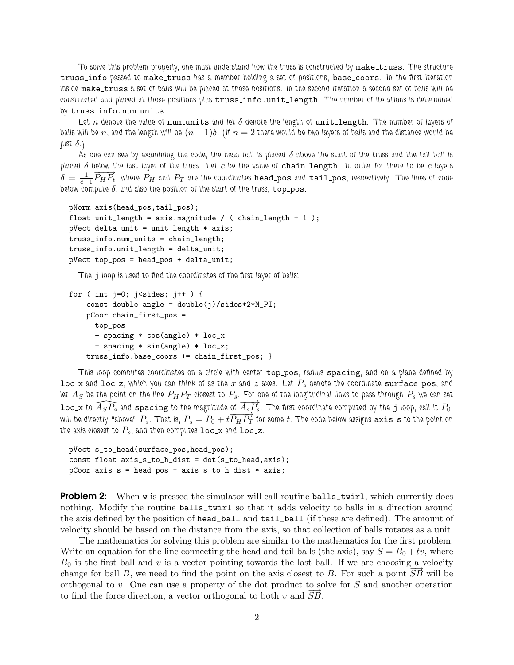*To solve this problem properly, one must understand how the truss is constructed by* make truss*. The structure* truss info *passed to* make truss *has a member holding a set of positions,* base coors*. In the first iteration* inside make\_truss a set of balls will be placed at those positions. In the second iteration a second set of balls will be *constructed and placed at those positions plus* truss info.unit length*. The number of iterations is determined by* truss info.num units*.*

Let *n* denote the value of num units and let  $\delta$  denote the length of unit length. The number of layers of *balls will be* n, and the length will be  $(n - 1)\delta$ . (If  $n = 2$  there would be two layers of balls and the distance would be *just* δ*.)*

*As one can see by examining the code, the head ball is placed* δ *above the start of the truss and the tail ball is placed* δ *below the last layer of the truss. Let* c *be the value of* chain length*. In order for there to be* c *layers*  $\delta = \frac{1}{c+1} \overline{P_H P_t}$ , where  $P_H$  and  $P_T$  are the coordinates head\_pos and tail\_pos, respectively. The lines of code  $b$ elow compute  $\delta$ , and also the position of the start of the truss,  $\mathtt{top\_pos}.$ 

```
pNorm axis(head_pos,tail_pos);
float unit_length = axismapplitude / (chain_length + 1);pVect delta_unit = unit_length * axis;
truss_info.num_units = chain_length;
truss_info.unit_length = delta_unit;
pVect top_pos = head_pos + delta_unit;
```
*The* j *loop is used to find the coordinates of the first layer of balls:*

```
for ( int j=0; j < sides; j++ ) {
    const double angle = double(j)/sides*2*M_PI;
    pCoor chain_first_pos =
     top_pos
     + spacing * cos(angle) * loc_x
     + spacing * sin(angle) * loc_z;
    truss_info.base_coors += chain_first_pos; }
```
*This loop computes coordinates on a circle with center* top pos*, radius* spacing*, and on a plane defined by* loc x and loc z, which you can think of as the x and z axes. Let  $P_s$  denote the coordinate surface pos, and *let*  $A_S$  be the point on the line  $P_H P_T$  closest to  $P_s$ . For one of the longitudinal links to pass through  $P_s$  we can set  $\widehat{A_{S}P_{s}}$  and spacing to the magnitude of  $\overrightarrow{A_{s}P_{s}}$ . The first coordinate computed by the j loop, call it  $P_{0}$ ,  $\frac{100 \times 10^{19} \text{ J}}{200}$  is and **Spacing** to the magnitude of  $\frac{21 \text{ J}}{254}$  s. The mst coordinate computed by the J loop, can it 10, will be directly "above"  $P_s$ . That is,  $P_s = P_0 + t \overline{P_H P_T}$  for some *t*. The cod the axis closest to  $P_s$ , and then computes  $\text{loc}\xspace x$  and  $\text{loc}\xspace z$ .

```
pVect s_to_head(surface_pos,head_pos);
const float axis_s_to_h_dist = dot(s_to_head,axis);
pCoor axis_s = head_pos - axis_s_to_h_dist * axis;
```
**Problem 2:** When w is pressed the simulator will call routine balls\_twirl, which currently does nothing. Modify the routine balls\_twirl so that it adds velocity to balls in a direction around the axis defined by the position of head\_ball and tail\_ball (if these are defined). The amount of velocity should be based on the distance from the axis, so that collection of balls rotates as a unit.

The mathematics for solving this problem are similar to the mathematics for the first problem. Write an equation for the line connecting the head and tail balls (the axis), say  $S = B_0 + tv$ , where  $B_0$  is the first ball and v is a vector pointing towards the last ball. If we are choosing a velocity change for ball B, we need to find the point on the axis closest to B. For such a point  $\overrightarrow{SB}$  will be orthogonal to v. One can use a property of the dot product to solve for S and another operation to find the force direction, a vector orthogonal to both v and  $SB$ .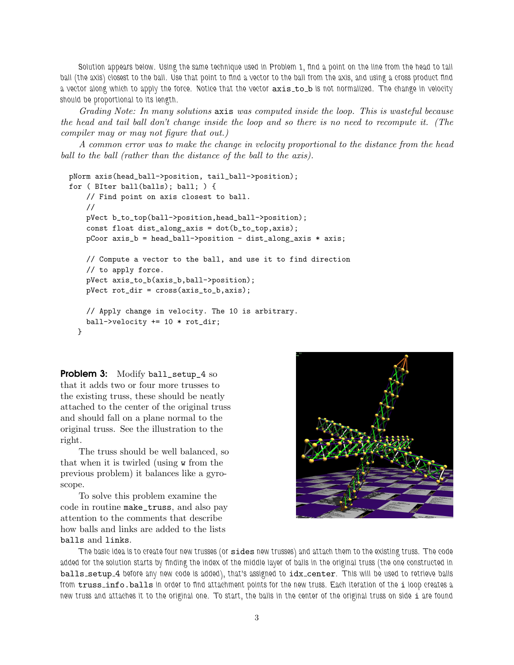*Solution appears below. Using the same technique used in Problem 1, find a point on the line from the head to tail ball (the axis) closest to the ball. Use that point to find a vector to the ball from the axis, and using a cross product find* a vector along which to apply the force. Notice that the vector  $axis_to_b$  is not normalized. The change in velocity *should be proportional to its length.*

Grading Note: In many solutions axis was computed inside the loop. This is wasteful because the head and tail ball don't change inside the loop and so there is no need to recompute it. (The compiler may or may not figure that out.)

A common error was to make the change in velocity proportional to the distance from the head ball to the ball (rather than the distance of the ball to the axis).

```
pNorm axis(head_ball->position, tail_ball->position);
for ( BIter ball(balls); ball; ) {
   // Find point on axis closest to ball.
   //
   pVect b_to_top(ball->position,head_ball->position);
   const float dist_along_axis = dot(b_to_top,axis);
   pCoor axis_b = head_ball->position - dist_along_axis * axis;// Compute a vector to the ball, and use it to find direction
   // to apply force.
   pVect axis_to_b(axis_b,ball->position);
   pVect rot_dir = cross(axis_to_b,axis);
   // Apply change in velocity. The 10 is arbitrary.
   ball->velocity += 10 * rot_dir;
 }
```
Problem 3: Modify ball\_setup\_4 so that it adds two or four more trusses to the existing truss, these should be neatly attached to the center of the original truss and should fall on a plane normal to the original truss. See the illustration to the right.

The truss should be well balanced, so that when it is twirled (using w from the previous problem) it balances like a gyroscope.

To solve this problem examine the code in routine make\_truss, and also pay attention to the comments that describe how balls and links are added to the lists balls and links.



*The basic idea is to create four new trusses (or* sides *new trusses) and attach them to the existing truss. The code added for the solution starts by finding the index of the middle layer of balls in the original truss (the one constructed in* balls setup 4 *before any new code is added), that's assigned to* idx center*. This will be used to retrieve balls from* truss info.balls *in order to find attachment points for the new truss. Each iteration of the* i *loop creates a new truss and attaches it to the original one. To start, the balls in the center of the original truss on side* i *are found*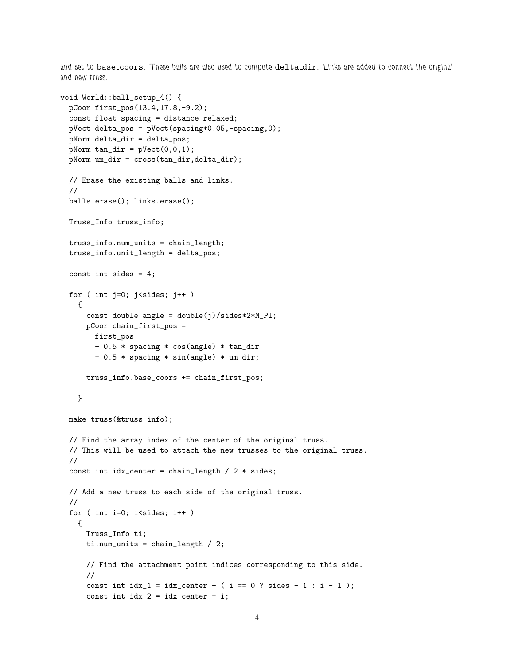*and set to* base coors*. These balls are also used to compute* delta dir*. Links are added to connect the original and new truss.*

```
void World::ball_setup_4() {
 pCoor first_pos(13.4,17.8,-9.2);
  const float spacing = distance_relaxed;
 pVect delta_pos = pVect(spacing*0.05,-spacing,0);
  pNorm delta_dir = delta_pos;
 pNorm tan_dir = pVect(0,0,1);pNorm um_dir = cross(tan_dir,delta_dir);
 // Erase the existing balls and links.
  //
 balls.erase(); links.erase();
 Truss_Info truss_info;
  truss_info.num_units = chain_length;
  truss_info.unit_length = delta_pos;
 const int sides = 4;
  for ( int j=0; j < sides; j++ )
   {
     const double angle = double(j)/sides*2*M_PI;
     pCoor chain_first_pos =
       first_pos
       + 0.5 * spacing * cos(angle) * tan_dir
       + 0.5 * spacing * sin(angle) * um_dir;
     truss_info.base_coors += chain_first_pos;
   }
 make_truss(&truss_info);
  // Find the array index of the center of the original truss.
  // This will be used to attach the new trusses to the original truss.
  //
  const int idx\_center = chain\_length / 2 * sides;// Add a new truss to each side of the original truss.
  //
 for ( int i=0; i<sides; i++ )
   {
     Truss_Info ti;
     ti.num_units = chain_length / 2;
     // Find the attachment point indices corresponding to this side.
      //
      const int idx_1 = idx_center + (i == 0 ? sides - 1 : i - 1);const int idx_2 = idx_center + i;
```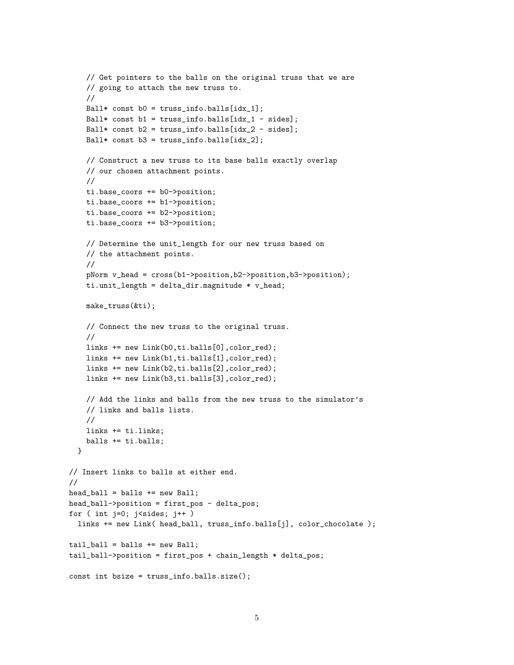```
// Get pointers to the balls on the original truss that we are
    // going to attach the new truss to.
    //
    Ball* const b0 = \text{truss_info.balls}[idx_1];
    Ball* const b1 = \text{truss_info.balls}[idx_1 - sides];
    Ball* const b2 = \text{truss_info.balls}[idx_2 - sides];
    Ball* const b3 = \text{truss_info.balls}[idx_2];
    // Construct a new truss to its base balls exactly overlap
    // our chosen attachment points.
    //
    ti.base_coors += b0->position;
    ti.base_coors += b1->position;
    ti.base_coors += b2->position;
    ti.base_coors += b3->position;
    // Determine the unit_length for our new truss based on
    // the attachment points.
    //
    pNorm v_head = cross(b1->position,b2->position,b3->position);
    ti.unit_length = delta_dir.magnitude * v_head;
    make_truss(&ti);
    // Connect the new truss to the original truss.
    //
    links += new Link(b0,ti.balls[0],color_red);
    links += new Link(b1,ti.balls[1],color_red);
    links += new Link(b2,ti.balls[2],color_red);
    links += new Link(b3,ti.balls[3],color_red);
    // Add the links and balls from the new truss to the simulator's
    // links and balls lists.
    //
   links += ti.links;
   balls += ti.balls;
  }
// Insert links to balls at either end.
//
head_ball = balls += new Ball;
head_ball->position = first_pos - delta_pos;
for ( int j=0; i sides; j++ )
  links += new Link( head_ball, truss_info.balls[j], color_chocolate );
tail_ball = balls += new Ball;
tail_ball->position = first_pos + chain_length * delta_pos;
const int bsize = truss_info.balls.size();
```

```
5
```